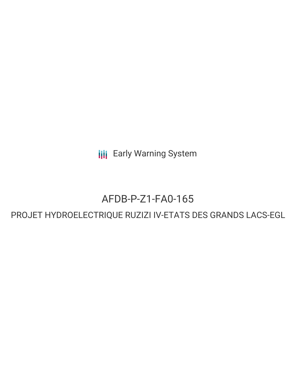**III** Early Warning System

# AFDB-P-Z1-FA0-165

## PROJET HYDROELECTRIQUE RUZIZI IV-ETATS DES GRANDS LACS-EGL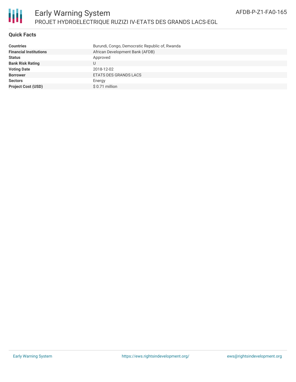

#### **Quick Facts**

| <b>Countries</b>              | Burundi, Congo, Democratic Republic of, Rwanda |
|-------------------------------|------------------------------------------------|
| <b>Financial Institutions</b> | African Development Bank (AFDB)                |
| <b>Status</b>                 | Approved                                       |
| <b>Bank Risk Rating</b>       |                                                |
| <b>Voting Date</b>            | 2018-12-02                                     |
| <b>Borrower</b>               | ETATS DES GRANDS LACS                          |
| <b>Sectors</b>                | Energy                                         |
| <b>Project Cost (USD)</b>     | $$0.71$ million                                |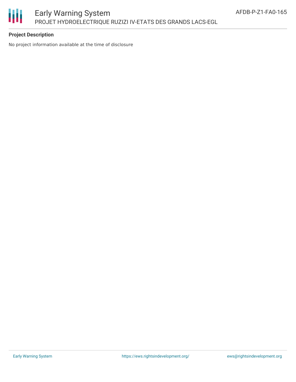

#### **Project Description**

No project information available at the time of disclosure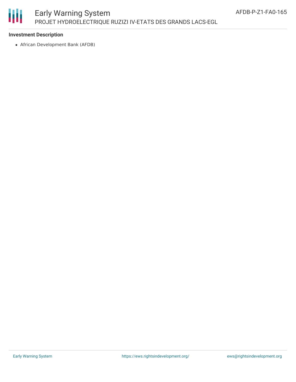

## Early Warning System PROJET HYDROELECTRIQUE RUZIZI IV-ETATS DES GRANDS LACS-EGL

#### **Investment Description**

African Development Bank (AFDB)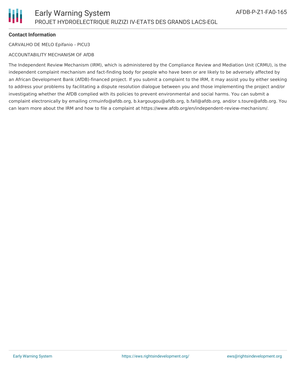#### **Contact Information**

CARVALHO DE MELO Epifanio - PICU3

#### ACCOUNTABILITY MECHANISM OF AfDB

The Independent Review Mechanism (IRM), which is administered by the Compliance Review and Mediation Unit (CRMU), is the independent complaint mechanism and fact-finding body for people who have been or are likely to be adversely affected by an African Development Bank (AfDB)-financed project. If you submit a complaint to the IRM, it may assist you by either seeking to address your problems by facilitating a dispute resolution dialogue between you and those implementing the project and/or investigating whether the AfDB complied with its policies to prevent environmental and social harms. You can submit a complaint electronically by emailing crmuinfo@afdb.org, b.kargougou@afdb.org, b.fall@afdb.org, and/or s.toure@afdb.org. You can learn more about the IRM and how to file a complaint at https://www.afdb.org/en/independent-review-mechanism/.